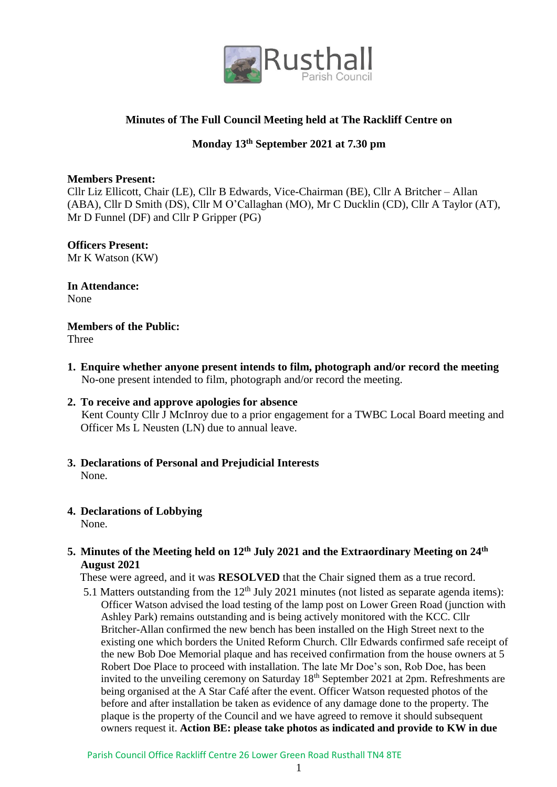

# **Minutes of The Full Council Meeting held at The Rackliff Centre on**

# **Monday 13 th September 2021 at 7.30 pm**

### **Members Present:**

Cllr Liz Ellicott, Chair (LE), Cllr B Edwards, Vice-Chairman (BE), Cllr A Britcher – Allan (ABA), Cllr D Smith (DS), Cllr M O'Callaghan (MO), Mr C Ducklin (CD), Cllr A Taylor (AT), Mr D Funnel (DF) and Cllr P Gripper (PG)

# **Officers Present:**

Mr K Watson (KW)

**In Attendance:** None

**Members of the Public:**

Three

**1. Enquire whether anyone present intends to film, photograph and/or record the meeting** No-one present intended to film, photograph and/or record the meeting.

# **2. To receive and approve apologies for absence** Kent County Cllr J McInroy due to a prior engagement for a TWBC Local Board meeting and Officer Ms L Neusten (LN) due to annual leave.

- **3. Declarations of Personal and Prejudicial Interests** None.
- **4. Declarations of Lobbying** None.

# **5. Minutes of the Meeting held on 12 th July 2021 and the Extraordinary Meeting on 24th August 2021**

These were agreed, and it was **RESOLVED** that the Chair signed them as a true record.

5.1 Matters outstanding from the  $12<sup>th</sup>$  July 2021 minutes (not listed as separate agenda items): Officer Watson advised the load testing of the lamp post on Lower Green Road (junction with Ashley Park) remains outstanding and is being actively monitored with the KCC. Cllr Britcher-Allan confirmed the new bench has been installed on the High Street next to the existing one which borders the United Reform Church. Cllr Edwards confirmed safe receipt of the new Bob Doe Memorial plaque and has received confirmation from the house owners at 5 Robert Doe Place to proceed with installation. The late Mr Doe's son, Rob Doe, has been invited to the unveiling ceremony on Saturday 18<sup>th</sup> September 2021 at 2pm. Refreshments are being organised at the A Star Café after the event. Officer Watson requested photos of the before and after installation be taken as evidence of any damage done to the property. The plaque is the property of the Council and we have agreed to remove it should subsequent owners request it. **Action BE: please take photos as indicated and provide to KW in due**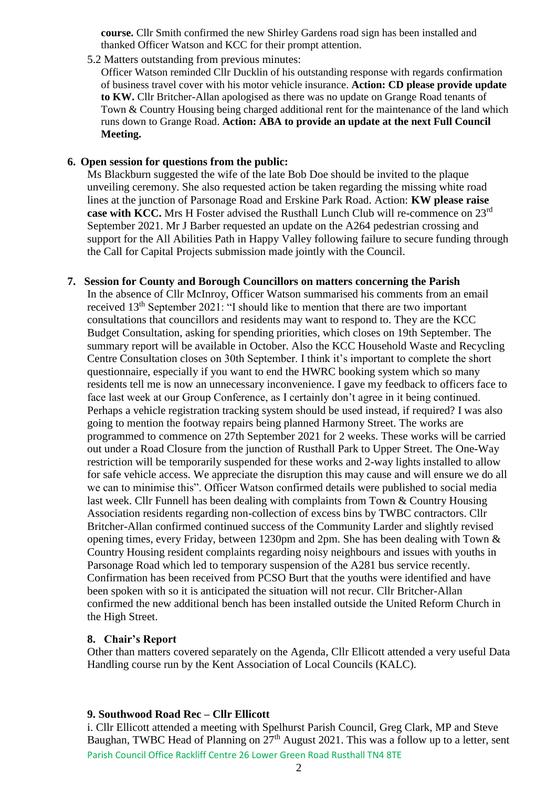**course.** Cllr Smith confirmed the new Shirley Gardens road sign has been installed and thanked Officer Watson and KCC for their prompt attention.

5.2 Matters outstanding from previous minutes:

Officer Watson reminded Cllr Ducklin of his outstanding response with regards confirmation of business travel cover with his motor vehicle insurance. **Action: CD please provide update to KW.** Cllr Britcher-Allan apologised as there was no update on Grange Road tenants of Town & Country Housing being charged additional rent for the maintenance of the land which runs down to Grange Road. **Action: ABA to provide an update at the next Full Council Meeting.**

#### **6. Open session for questions from the public:**

Ms Blackburn suggested the wife of the late Bob Doe should be invited to the plaque unveiling ceremony. She also requested action be taken regarding the missing white road lines at the junction of Parsonage Road and Erskine Park Road. Action: **KW please raise case with KCC.** Mrs H Foster advised the Rusthall Lunch Club will re-commence on 23rd September 2021. Mr J Barber requested an update on the A264 pedestrian crossing and support for the All Abilities Path in Happy Valley following failure to secure funding through the Call for Capital Projects submission made jointly with the Council.

#### **7. Session for County and Borough Councillors on matters concerning the Parish**

In the absence of Cllr McInroy, Officer Watson summarised his comments from an email received 13th September 2021: "I should like to mention that there are two important consultations that councillors and residents may want to respond to. They are the KCC Budget Consultation, asking for spending priorities, which closes on 19th September. The summary report will be available in October. Also the KCC Household Waste and Recycling Centre Consultation closes on 30th September. I think it's important to complete the short questionnaire, especially if you want to end the HWRC booking system which so many residents tell me is now an unnecessary inconvenience. I gave my feedback to officers face to face last week at our Group Conference, as I certainly don't agree in it being continued. Perhaps a vehicle registration tracking system should be used instead, if required? I was also going to mention the footway repairs being planned Harmony Street. The works are programmed to commence on 27th September 2021 for 2 weeks. These works will be carried out under a Road Closure from the junction of Rusthall Park to Upper Street. The One-Way restriction will be temporarily suspended for these works and 2-way lights installed to allow for safe vehicle access. We appreciate the disruption this may cause and will ensure we do all we can to minimise this". Officer Watson confirmed details were published to social media last week. Cllr Funnell has been dealing with complaints from Town & Country Housing Association residents regarding non-collection of excess bins by TWBC contractors. Cllr Britcher-Allan confirmed continued success of the Community Larder and slightly revised opening times, every Friday, between 1230pm and 2pm. She has been dealing with Town & Country Housing resident complaints regarding noisy neighbours and issues with youths in Parsonage Road which led to temporary suspension of the A281 bus service recently. Confirmation has been received from PCSO Burt that the youths were identified and have been spoken with so it is anticipated the situation will not recur. Cllr Britcher-Allan confirmed the new additional bench has been installed outside the United Reform Church in the High Street.

#### **8. Chair's Report**

Other than matters covered separately on the Agenda, Cllr Ellicott attended a very useful Data Handling course run by the Kent Association of Local Councils (KALC).

### **9. Southwood Road Rec – Cllr Ellicott**

Parish Council Office Rackliff Centre 26 Lower Green Road Rusthall TN4 8TE i. Cllr Ellicott attended a meeting with Spelhurst Parish Council, Greg Clark, MP and Steve Baughan, TWBC Head of Planning on  $27<sup>th</sup>$  August 2021. This was a follow up to a letter, sent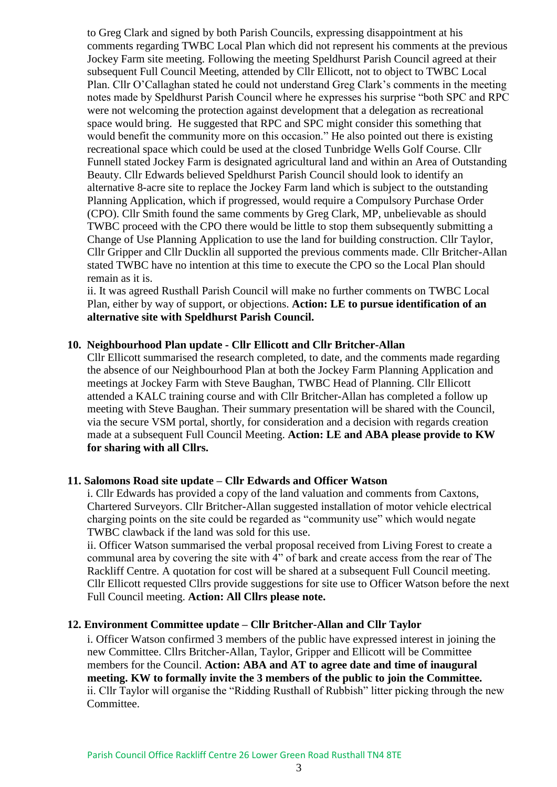to Greg Clark and signed by both Parish Councils, expressing disappointment at his comments regarding TWBC Local Plan which did not represent his comments at the previous Jockey Farm site meeting. Following the meeting Speldhurst Parish Council agreed at their subsequent Full Council Meeting, attended by Cllr Ellicott, not to object to TWBC Local Plan. Cllr O'Callaghan stated he could not understand Greg Clark's comments in the meeting notes made by Speldhurst Parish Council where he expresses his surprise "both SPC and RPC were not welcoming the protection against development that a delegation as recreational space would bring. He suggested that RPC and SPC might consider this something that would benefit the community more on this occasion." He also pointed out there is existing recreational space which could be used at the closed Tunbridge Wells Golf Course. Cllr Funnell stated Jockey Farm is designated agricultural land and within an Area of Outstanding Beauty. Cllr Edwards believed Speldhurst Parish Council should look to identify an alternative 8-acre site to replace the Jockey Farm land which is subject to the outstanding Planning Application, which if progressed, would require a Compulsory Purchase Order (CPO). Cllr Smith found the same comments by Greg Clark, MP, unbelievable as should TWBC proceed with the CPO there would be little to stop them subsequently submitting a Change of Use Planning Application to use the land for building construction. Cllr Taylor, Cllr Gripper and Cllr Ducklin all supported the previous comments made. Cllr Britcher-Allan stated TWBC have no intention at this time to execute the CPO so the Local Plan should remain as it is.

ii. It was agreed Rusthall Parish Council will make no further comments on TWBC Local Plan, either by way of support, or objections. **Action: LE to pursue identification of an alternative site with Speldhurst Parish Council.**

#### **10. Neighbourhood Plan update - Cllr Ellicott and Cllr Britcher-Allan**

Cllr Ellicott summarised the research completed, to date, and the comments made regarding the absence of our Neighbourhood Plan at both the Jockey Farm Planning Application and meetings at Jockey Farm with Steve Baughan, TWBC Head of Planning. Cllr Ellicott attended a KALC training course and with Cllr Britcher-Allan has completed a follow up meeting with Steve Baughan. Their summary presentation will be shared with the Council, via the secure VSM portal, shortly, for consideration and a decision with regards creation made at a subsequent Full Council Meeting. **Action: LE and ABA please provide to KW for sharing with all Cllrs.**

#### **11. Salomons Road site update – Cllr Edwards and Officer Watson**

i. Cllr Edwards has provided a copy of the land valuation and comments from Caxtons, Chartered Surveyors. Cllr Britcher-Allan suggested installation of motor vehicle electrical charging points on the site could be regarded as "community use" which would negate TWBC clawback if the land was sold for this use.

ii. Officer Watson summarised the verbal proposal received from Living Forest to create a communal area by covering the site with 4" of bark and create access from the rear of The Rackliff Centre. A quotation for cost will be shared at a subsequent Full Council meeting. Cllr Ellicott requested Cllrs provide suggestions for site use to Officer Watson before the next Full Council meeting. **Action: All Cllrs please note.**

#### **12. Environment Committee update – Cllr Britcher-Allan and Cllr Taylor**

i. Officer Watson confirmed 3 members of the public have expressed interest in joining the new Committee. Cllrs Britcher-Allan, Taylor, Gripper and Ellicott will be Committee members for the Council. **Action: ABA and AT to agree date and time of inaugural meeting. KW to formally invite the 3 members of the public to join the Committee.** ii. Cllr Taylor will organise the "Ridding Rusthall of Rubbish" litter picking through the new Committee.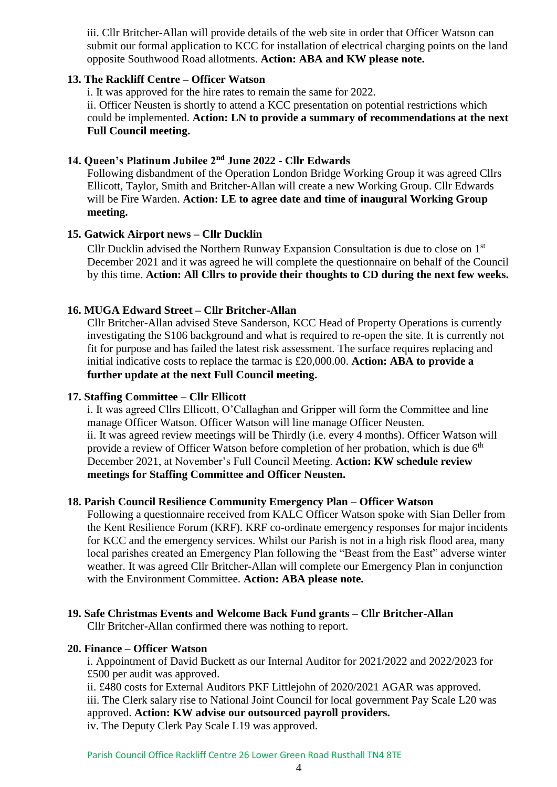iii. Cllr Britcher-Allan will provide details of the web site in order that Officer Watson can submit our formal application to KCC for installation of electrical charging points on the land opposite Southwood Road allotments. **Action: ABA and KW please note.**

### **13. The Rackliff Centre – Officer Watson**

i. It was approved for the hire rates to remain the same for 2022.

ii. Officer Neusten is shortly to attend a KCC presentation on potential restrictions which could be implemented. **Action: LN to provide a summary of recommendations at the next Full Council meeting.**

# **14. Queen's Platinum Jubilee 2nd June 2022 - Cllr Edwards**

Following disbandment of the Operation London Bridge Working Group it was agreed Cllrs Ellicott, Taylor, Smith and Britcher-Allan will create a new Working Group. Cllr Edwards will be Fire Warden. **Action: LE to agree date and time of inaugural Working Group meeting.**

# **15. Gatwick Airport news – Cllr Ducklin**

Cllr Ducklin advised the Northern Runway Expansion Consultation is due to close on 1st December 2021 and it was agreed he will complete the questionnaire on behalf of the Council by this time. **Action: All Cllrs to provide their thoughts to CD during the next few weeks.**

### **16. MUGA Edward Street – Cllr Britcher-Allan**

Cllr Britcher-Allan advised Steve Sanderson, KCC Head of Property Operations is currently investigating the S106 background and what is required to re-open the site. It is currently not fit for purpose and has failed the latest risk assessment. The surface requires replacing and initial indicative costs to replace the tarmac is £20,000.00. **Action: ABA to provide a further update at the next Full Council meeting.**

### **17. Staffing Committee – Cllr Ellicott**

i. It was agreed Cllrs Ellicott, O'Callaghan and Gripper will form the Committee and line manage Officer Watson. Officer Watson will line manage Officer Neusten. ii. It was agreed review meetings will be Thirdly (i.e. every 4 months). Officer Watson will provide a review of Officer Watson before completion of her probation, which is due 6<sup>th</sup> December 2021, at November's Full Council Meeting. **Action: KW schedule review meetings for Staffing Committee and Officer Neusten.**

### **18. Parish Council Resilience Community Emergency Plan – Officer Watson**

Following a questionnaire received from KALC Officer Watson spoke with Sian Deller from the Kent Resilience Forum (KRF). KRF co-ordinate emergency responses for major incidents for KCC and the emergency services. Whilst our Parish is not in a high risk flood area, many local parishes created an Emergency Plan following the "Beast from the East" adverse winter weather. It was agreed Cllr Britcher-Allan will complete our Emergency Plan in conjunction with the Environment Committee. **Action: ABA please note.**

#### **19. Safe Christmas Events and Welcome Back Fund grants – Cllr Britcher-Allan** Cllr Britcher-Allan confirmed there was nothing to report.

### **20. Finance – Officer Watson**

i. Appointment of David Buckett as our Internal Auditor for 2021/2022 and 2022/2023 for £500 per audit was approved.

ii. £480 costs for External Auditors PKF Littlejohn of 2020/2021 AGAR was approved. iii. The Clerk salary rise to National Joint Council for local government Pay Scale L20 was approved. **Action: KW advise our outsourced payroll providers.**

iv. The Deputy Clerk Pay Scale L19 was approved.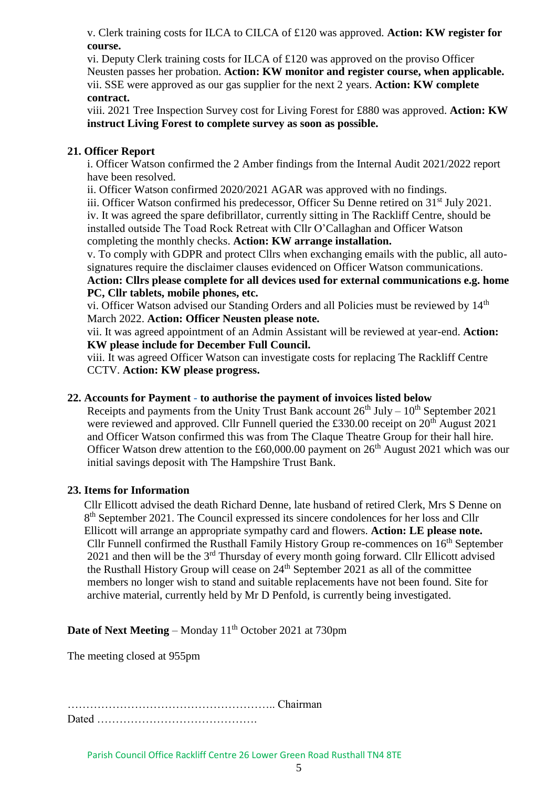v. Clerk training costs for ILCA to CILCA of £120 was approved. **Action: KW register for course.**

vi. Deputy Clerk training costs for ILCA of £120 was approved on the proviso Officer Neusten passes her probation. **Action: KW monitor and register course, when applicable.** vii. SSE were approved as our gas supplier for the next 2 years. **Action: KW complete contract.**

viii. 2021 Tree Inspection Survey cost for Living Forest for £880 was approved. **Action: KW instruct Living Forest to complete survey as soon as possible.**

# **21. Officer Report**

i. Officer Watson confirmed the 2 Amber findings from the Internal Audit 2021/2022 report have been resolved.

ii. Officer Watson confirmed 2020/2021 AGAR was approved with no findings.

iii. Officer Watson confirmed his predecessor, Officer Su Denne retired on 31<sup>st</sup> July 2021. iv. It was agreed the spare defibrillator, currently sitting in The Rackliff Centre, should be installed outside The Toad Rock Retreat with Cllr O'Callaghan and Officer Watson completing the monthly checks. **Action: KW arrange installation.**

v. To comply with GDPR and protect Cllrs when exchanging emails with the public, all autosignatures require the disclaimer clauses evidenced on Officer Watson communications.

**Action: Cllrs please complete for all devices used for external communications e.g. home PC, Cllr tablets, mobile phones, etc.**

vi. Officer Watson advised our Standing Orders and all Policies must be reviewed by 14<sup>th</sup> March 2022. **Action: Officer Neusten please note.**

vii. It was agreed appointment of an Admin Assistant will be reviewed at year-end. **Action: KW please include for December Full Council.**

viii. It was agreed Officer Watson can investigate costs for replacing The Rackliff Centre CCTV. **Action: KW please progress.**

## **22. Accounts for Payment - to authorise the payment of invoices listed below**

Receipts and payments from the Unity Trust Bank account  $26<sup>th</sup>$  July –  $10<sup>th</sup>$  September 2021 were reviewed and approved. Cllr Funnell queried the £330.00 receipt on  $20<sup>th</sup>$  August 2021 and Officer Watson confirmed this was from The Claque Theatre Group for their hall hire. Officer Watson drew attention to the £60,000.00 payment on  $26<sup>th</sup>$  August 2021 which was our initial savings deposit with The Hampshire Trust Bank.

# **23. Items for Information**

Cllr Ellicott advised the death Richard Denne, late husband of retired Clerk, Mrs S Denne on 8<sup>th</sup> September 2021. The Council expressed its sincere condolences for her loss and Cllr Ellicott will arrange an appropriate sympathy card and flowers. **Action: LE please note.** Cllr Funnell confirmed the Rusthall Family History Group re-commences on 16th September 2021 and then will be the  $3<sup>rd</sup>$  Thursday of every month going forward. Cllr Ellicott advised the Rusthall History Group will cease on 24th September 2021 as all of the committee members no longer wish to stand and suitable replacements have not been found. Site for archive material, currently held by Mr D Penfold, is currently being investigated.

**Date of Next Meeting** – Monday 11<sup>th</sup> October 2021 at 730pm

The meeting closed at 955pm

……………………………………………….. Chairman Dated …………………………………….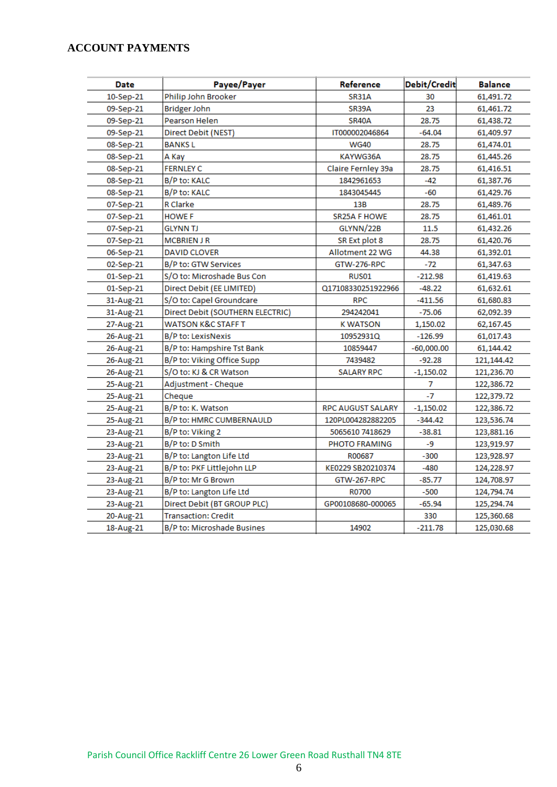# **ACCOUNT PAYMENTS**

| Date        | Payee/Payer                      | Reference                | Debit/Credit | <b>Balance</b> |
|-------------|----------------------------------|--------------------------|--------------|----------------|
| 10-Sep-21   | Philip John Brooker              | <b>SR31A</b>             | 30           | 61,491.72      |
| 09-Sep-21   | Bridger John                     | SR39A                    | 23           | 61,461.72      |
| 09-Sep-21   | Pearson Helen                    | SR40A                    | 28.75        | 61,438.72      |
| 09-Sep-21   | Direct Debit (NEST)              | IT000002046864           | -64.04       | 61,409.97      |
| 08-Sep-21   | BANKS L                          | <b>WG40</b>              | 28.75        | 61,474.01      |
| 08-Sep-21   | A Kay                            | KAYWG36A                 | 28.75        | 61,445.26      |
| 08-Sep-21   | <b>FERNLEY C</b>                 | Claire Fernley 39a       | 28.75        | 61,416.51      |
| 08-Sep-21   | B/P to: KALC                     | 1842961653               | -42          | 61,387.76      |
| 08-Sep-21   | B/P to: KALC                     | 1843045445               | -60          | 61,429.76      |
| 07-Sep-21   | R Clarke                         | 13B                      | 28.75        | 61,489.76      |
| 07-Sep-21   | <b>HOWE F</b>                    | SR25A F HOWE             | 28.75        | 61,461.01      |
| 07-Sep-21   | <b>GLYNN TJ</b>                  | GLYNN/22B                | 11.5         | 61,432.26      |
| 07-Sep-21   | <b>MCBRIEN J R</b>               | SR Ext plot 8            | 28.75        | 61,420.76      |
| 06-Sep-21   | <b>DAVID CLOVER</b>              | Allotment 22 WG          | 44.38        | 61,392.01      |
| 02-Sep-21   | B/P to: GTW Services             | <b>GTW-276-RPC</b>       | -72          | 61,347.63      |
| $01-Sep-21$ | S/O to: Microshade Bus Con       | RUS01                    | -212.98      | 61,419.63      |
| $01-Sep-21$ | Direct Debit (EE LIMITED)        | Q17108330251922966       | $-48.22$     | 61,632.61      |
| 31-Aug-21   | S/O to: Capel Groundcare         | <b>RPC</b>               | $-411.56$    | 61,680.83      |
| 31-Aug-21   | Direct Debit (SOUTHERN ELECTRIC) | 294242041                | $-75.06$     | 62,092.39      |
| 27-Aug-21   | WATSON K&C STAFF T               | K WATSON                 | 1,150.02     | 62,167.45      |
| 26-Aug-21   | B/P to: LexisNexis               | 10952931Q                | -126.99      | 61,017.43      |
| 26-Aug-21   | B/P to: Hampshire Tst Bank       | 10859447                 | $-60,000.00$ | 61,144.42      |
| 26-Aug-21   | B/P to: Viking Office Supp       | 7439482                  | $-92.28$     | 121,144.42     |
| 26-Aug-21   | S/O to: KJ & CR Watson           | <b>SALARY RPC</b>        | $-1,150.02$  | 121,236.70     |
| 25-Aug-21   | Adjustment - Cheque              |                          | 7            | 122,386.72     |
| 25-Aug-21   | Cheque                           |                          | -7           | 122,379.72     |
| 25-Aug-21   | B/P to: K. Watson                | <b>RPC AUGUST SALARY</b> | $-1,150.02$  | 122,386.72     |
| 25-Aug-21   | B/P to: HMRC CUMBERNAULD         | 120PL004282882205        | -344.42      | 123,536.74     |
| 23-Aug-21   | B/P to: Viking 2                 | 5065610 7418629          | $-38.81$     | 123,881.16     |
| 23-Aug-21   | B/P to: D Smith                  | PHOTO FRAMING            | -9           | 123,919.97     |
| 23-Aug-21   | B/P to: Langton Life Ltd         | R00687                   | $-300$       | 123,928.97     |
| 23-Aug-21   | B/P to: PKF Littlejohn LLP       | KE0229 SB20210374        | -480         | 124,228.97     |
| 23-Aug-21   | B/P to: Mr G Brown               | <b>GTW-267-RPC</b>       | -85.77       | 124,708.97     |
| 23-Aug-21   | B/P to: Langton Life Ltd         | R0700                    | -500         | 124,794.74     |
| 23-Aug-21   | Direct Debit (BT GROUP PLC)      | GP00108680-000065        | -65.94       | 125,294.74     |
| 20-Aug-21   | <b>Transaction: Credit</b>       |                          | 330          | 125,360.68     |
| 18-Aug-21   | B/P to: Microshade Busines       | 14902                    | -211.78      | 125,030.68     |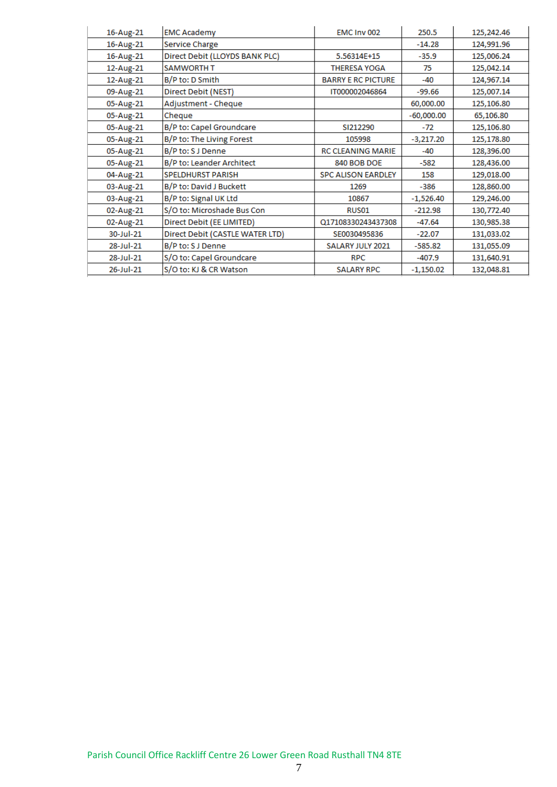| 16-Aug-21 | <b>EMC Academy</b>              | EMC Inv 002               | 250.5        | 125,242.46 |
|-----------|---------------------------------|---------------------------|--------------|------------|
| 16-Aug-21 | Service Charge                  |                           | $-14.28$     | 124,991.96 |
| 16-Aug-21 | Direct Debit (LLOYDS BANK PLC)  | 5.56314E+15               | $-35.9$      | 125,006.24 |
| 12-Aug-21 | <b>SAMWORTH T</b>               | <b>THERESA YOGA</b>       | 75           | 125,042.14 |
| 12-Aug-21 | B/P to: D Smith                 | <b>BARRY E RC PICTURE</b> | $-40$        | 124,967.14 |
| 09-Aug-21 | Direct Debit (NEST)             | IT000002046864            | -99.66       | 125,007.14 |
| 05-Aug-21 | Adjustment - Cheque             |                           | 60,000.00    | 125,106.80 |
| 05-Aug-21 | Cheque                          |                           | $-60,000.00$ | 65,106.80  |
| 05-Aug-21 | B/P to: Capel Groundcare        | SI212290                  | $-72$        | 125,106.80 |
| 05-Aug-21 | B/P to: The Living Forest       | 105998                    | $-3,217.20$  | 125,178.80 |
| 05-Aug-21 | B/P to: S J Denne               | <b>RC CLEANING MARIE</b>  | $-40$        | 128,396.00 |
| 05-Aug-21 | B/P to: Leander Architect       | 840 BOB DOE               | $-582$       | 128,436.00 |
| 04-Aug-21 | <b>SPELDHURST PARISH</b>        | <b>SPC ALISON EARDLEY</b> | 158          | 129,018.00 |
| 03-Aug-21 | B/P to: David J Buckett         | 1269                      | -386         | 128,860.00 |
| 03-Aug-21 | B/P to: Signal UK Ltd           | 10867                     | $-1,526.40$  | 129,246.00 |
| 02-Aug-21 | S/O to: Microshade Bus Con      | RUS01                     | $-212.98$    | 130,772.40 |
| 02-Aug-21 | Direct Debit (EE LIMITED)       | Q17108330243437308        | $-47.64$     | 130,985.38 |
| 30-Jul-21 | Direct Debit (CASTLE WATER LTD) | SE0030495836              | $-22.07$     | 131,033.02 |
| 28-Jul-21 | B/P to: S J Denne               | SALARY JULY 2021          | $-585.82$    | 131,055.09 |
| 28-Jul-21 | S/O to: Capel Groundcare        | <b>RPC</b>                | $-407.9$     | 131,640.91 |
| 26-Jul-21 | S/O to: KJ & CR Watson          | <b>SALARY RPC</b>         | $-1,150.02$  | 132,048.81 |